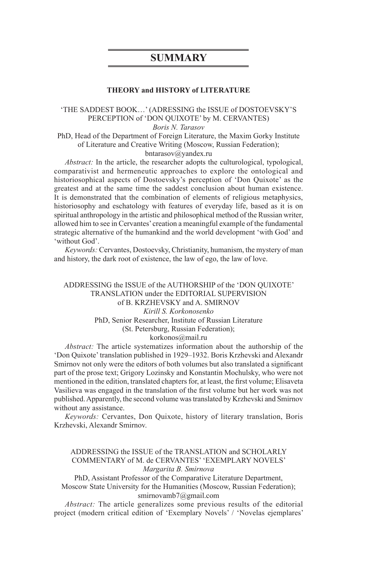# **SUMMARY**

#### **THEORY and HISTORY of LITERATURE**

# 'THE SADDEST BOOK…' (ADRESSING the ISSUE of DOSTOEVSKY'S PERCEPTION of 'DON QUIXOTE' by M. CERVANTES)

*Boris N. Tarasov*

PhD, Head of the Department of Foreign Literature, the Maxim Gorky Institute of Literature and Creative Writing (Moscow, Russian Federation);

bntarasov@yandex.ru

*Abstract:* In the article, the researcher adopts the culturological, typological, comparativist and hermeneutic approaches to explore the ontological and historiosophical aspects of Dostoevsky's perception of 'Don Quixote' as the greatest and at the same time the saddest conclusion about human existence. It is demonstrated that the combination of elements of religious metaphysics, historiosophy and eschatology with features of everyday life, based as it is on spiritual anthropology in the artistic and philosophical method of the Russian writer, allowed him to see in Cervantes' creation a meaningful example of the fundamental strategic alternative of the humankind and the world development 'with God' and 'without God'.

*Keywords:* Cervantes, Dostoevsky, Christianity, humanism, the mystery of man and history, the dark root of existence, the law of ego, the law of love.

### ADDRESSING the ISSUE of the AUTHORSHIP of the 'DON QUIXOTE' TRANSLATION under the EDITORIAL SUPERVISION of B. KRZHEVSKY and A. SMIRNOV *Kirill S. Korkonosenko* PhD, Senior Researcher, Institute of Russian Literature (St. Petersburg, Russian Federation); korkonos@mail.ru

*Abstract:* The article systematizes information about the authorship of the 'Don Quixote' translation published in 1929–1932. Boris Krzhevski and Alexandr Smirnov not only were the editors of both volumes but also translated a significant part of the prose text; Grigory Lozinsky and Konstantin Mochulsky, who were not mentioned in the edition, translated chapters for, at least, the first volume; Elisaveta Vasilieva was engaged in the translation of the first volume but her work was not published. Apparently, the second volume was translated by Krzhevski and Smirnov without any assistance.

*Keywords:* Cervantes, Don Quixote, history of literary translation, Boris Krzhevski, Alexandr Smirnov.

ADDRESSING the ISSUE of the TRANSLATION and SCHOLARLY COMMENTARY of M. de CERVANTES' 'EXEMPLARY NOVELS' *Margarita B. Smirnova*

PhD, Assistant Professor of the Comparative Literature Department,

Moscow State University for the Humanities (Moscow, Russian Federation); smirnovamb7@gmail.com

*Abstract:* The article generalizes some previous results of the editorial project (modern critical edition of 'Exemplary Novels' / 'Novelas ejemplares'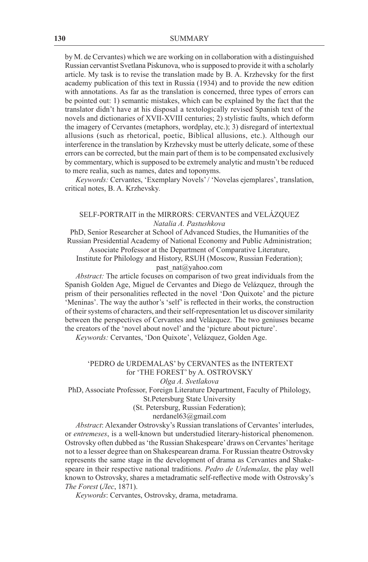by M. de Cervantes) which we are working on in collaboration with a distinguished Russian cervantist Svetlana Piskunova, who is supposed to provide it with a scholarly article. My task is to revise the translation made by B. A. Krzhevsky for the first academy publication of this text in Russia (1934) and to provide the new edition with annotations. As far as the translation is concerned, three types of errors can be pointed out: 1) semantic mistakes, which can be explained by the fact that the translator didn't have at his disposal a textologically revised Spanish text of the novels and dictionaries of XVII-XVIII centuries; 2) stylistic faults, which deform the imagery of Cervantes (metaphors, wordplay, etc.); 3) disregard of intertextual allusions (such as rhetorical, poetic, Biblical allusions, etc.). Although our interference in the translation by Krzhevsky must be utterly delicate, some of these errors can be corrected, but the main part of them is to be compensated exclusively by commentary, which is supposed to be extremely analytic and mustn't be reduced to mere realia, such as names, dates and toponyms.

*Keywords:* Cervantes, 'Exemplary Novels' / 'Novelas ejemplares', translation, critical notes, B. A. Krzhevsky*.*

### SELF-PORTRAIT in the MIRRORS: CERVANTES and VELÁZQUEZ *Natalia A. Pastushkova*

PhD, Senior Researcher at School of Advanced Studies, the Humanities of the Russian Presidential Academy of National Economy and Public Administration; Associate Professor at the Department of Comparative Literature,

Institute for Philology and History, RSUH (Moscow, Russian Federation); past\_nat@yahoo.com

*Abstract:* The article focuses on comparison of two great individuals from the Spanish Golden Age, Miguel de Cervantes and Diego de Velázquez, through the prism of their personalities reflected in the novel 'Don Quixote' and the picture 'Meninas'. The way the author's 'self' is reflected in their works, the construction of their systems of characters, and their self-representation let us discover similarity between the perspectives of Cervantes and Velázquez. The two geniuses became the creators of the 'novel about novel' and the 'picture about picture'.

*Keywords:* Cervantes, 'Don Quixote', Velázquez, Golden Age.

## 'PEDRO de URDEMALAS' by CERVANTES as the INTERTEXT for 'THE FOREST' by A. OSTROVSKY

*Olga A. Svetlakova*

PhD, Associate Professor, Foreign Literature Department, Faculty of Philology, St.Petersburg State University

(St. Petersburg, Russian Federation);

nerdanel63@gmail.com

*Abstract*: Alexander Ostrovsky's Russian translations of Cervantes' interludes, or *entremeses*, is a well-known but understudied literary-historical phenomenon. Ostrovsky often dubbed as 'the Russian Shakespeare' draws on Cervantes' heritage not to a lesser degree than on Shakespearean drama. For Russian theatre Ostrovsky represents the same stage in the development of drama as Cervantes and Shakespeare in their respective national traditions. *Pedro de Urdemalas,* the play well known to Ostrovsky, shares a metadramatic self-reflective mode with Ostrovsky's *The Forest* (*Лес*, 1871).

*Keywords*: Cervantes, Ostrovsky, drama, metadrama.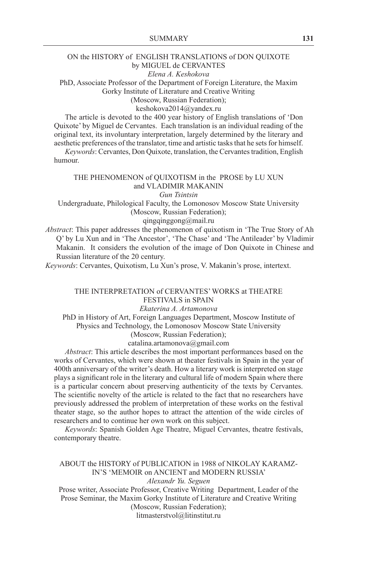## ON the HISTORY of ENGLISH TRANSLATIONS of DON QUIXOTE by MIGUEL de CERVANTES

*Elena A. Keshokova*

PhD, Associate Professor of the Department of Foreign Literature, the Maxim Gorky Institute of Literature and Creative Writing

(Moscow, Russian Federation);

keshokova2014@yandex.ru

The article is devoted to the 400 year history of English translations of 'Don Quixote' by Miguel de Cervantes. Each translation is an individual reading of the original text, its involuntary interpretation, largely determined by the literary and aesthetic preferences of the translator, time and artistic tasks that he sets for himself.

*Keywords*: Cervantes, Don Quixote, translation, the Cervantes tradition, English humour.

#### THE PHENOMENON of QUIXOTISM in the PROSE by LU XUN and VLADIMIR MAKANIN *Gun Tsintsin*

Undergraduate, Philological Faculty, the Lomonosov Moscow State University (Moscow, Russian Federation);

#### qingqinggong@mail.ru

*Abstract*: This paper addresses the phenomenon of quixotism in 'The True Story of Ah Q' by Lu Xun and in 'The Ancestor', 'The Chase' and 'The Antileader' by Vladimir Makanin. It considers the evolution of the image of Don Quixote in Chinese and Russian literature of the 20 century.

*Keywords*: Cervantes, Quixotism, Lu Xun's prose, V. Makanin's prose, intertext.

### THE INTERPRETATION of CERVANTES' WORKS at THEATRE FESTIVALS in SPAIN

#### *Ekaterina A. Artamonova*

PhD in History of Art, Foreign Languages Department, Moscow Institute of Physics and Technology, the Lomonosov Moscow State University (Moscow, Russian Federation);

catalina.artamonova@gmail.com

*Abstract*: This article describes the most important performances based on the works of Cervantes, which were shown at theater festivals in Spain in the year of 400th anniversary of the writer's death. How a literary work is interpreted on stage plays a significant role in the literary and cultural life of modern Spain where there is a particular concern about preserving authenticity of the texts by Cervantes. The scientific novelty of the article is related to the fact that no researchers have previously addressed the problem of interpretation of these works on the festival theater stage, so the author hopes to attract the attention of the wide circles of researchers and to continue her own work on this subject.

*Keywords*: Spanish Golden Age Theatre, Miguel Cervantes, theatre festivals, contemporary theatre.

### ABOUT the HISTORY of PUBLICATION in 1988 of NIKOLAY KARAMZ-IN'S 'MEMOIR on ANCIENT and MODERN RUSSIA'

*Alexandr Yu. Seguen*

Prose writer, Associate Professor, Creative Writing Department, Leader of the Prose Seminar, the Maxim Gorky Institute of Literature and Creative Writing (Moscow, Russian Federation);

litmasterstvol@litinstitut.ru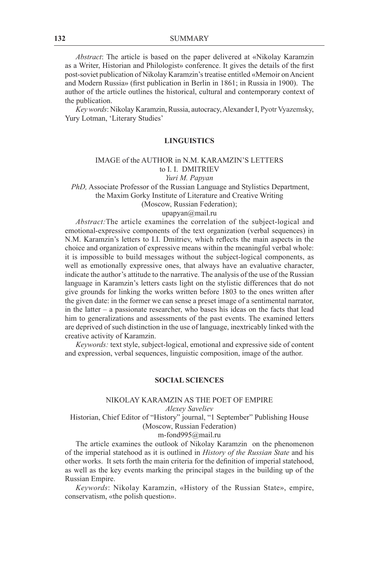*Abstract*: The article is based on the paper delivered at «Nikolay Karamzin as a Writer, Historian and Philologist» conference. It gives the details of the first post-soviet publication of Nikolay Karamzin's treatise entitled «Memoir on Ancient and Modern Russia» (first publication in Berlin in 1861; in Russia in 1900). The author of the article outlines the historical, cultural and contemporary context of the publication.

*Keywords*: Nikolay Karamzin, Russia, autocracy, Alexander I, Pyotr Vyazemsky, Yury Lotman, 'Literary Studies'

#### **LINGUISTICS**

#### IMAGE of the AUTHOR in N.M. KARAMZIN'S LETTERS to I. I. DMITRIEV

### *Yuri M. Papyan*

*PhD,* Associate Professor of the Russian Language and Stylistics Department, the Maxim Gorky Institute of Literature and Creative Writing

(Moscow, Russian Federation);

#### upapyan@mail.ru

*Abstract:*The article examines the correlation of the subject-logical and emotional-expressive components of the text organization (verbal sequences) in N.M. Karamzin's letters to I.I. Dmitriev, which reflects the main aspects in the choice and organization of expressive means within the meaningful verbal whole: it is impossible to build messages without the subject-logical components, as well as emotionally expressive ones, that always have an evaluative character, indicate the author's attitude to the narrative. The analysis of the use of the Russian language in Karamzin's letters casts light on the stylistic differences that do not give grounds for linking the works written before 1803 to the ones written after the given date: in the former we can sense a preset image of a sentimental narrator, in the latter – a passionate researcher, who bases his ideas on the facts that lead him to generalizations and assessments of the past events. The examined letters are deprived of such distinction in the use of language, inextricably linked with the creative activity of Karamzin.

*Keywords:* text style, subject-logical, emotional and expressive side of content and expression, verbal sequences, linguistic composition, image of the author.

#### **SOCIAL SCIENCES**

### NIKOLAY KARAMZIN AS THE POET OF EMPIRE

*Alexey Saveliev*

Historian, Chief Editor of "History" journal, "1 September" Publishing House (Moscow, Russian Federation)

m-fond995@mail.ru

The article examines the outlook of Nikolay Karamzin on the phenomenon of the imperial statehood as it is outlined in *History of the Russian State* and his other works. It sets forth the main criteria for the definition of imperial statehood, as well as the key events marking the principal stages in the building up of the Russian Empire.

*Keywords*: Nikolay Karamzin, «History of the Russian State», empire, conservatism, «the polish question».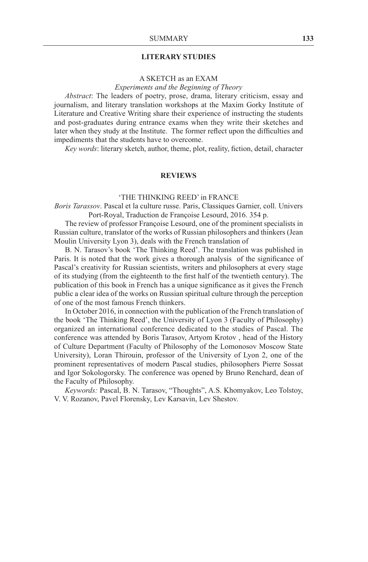#### **LITERARY STUDIES**

### A SKETCH as an EXAM

### *Experiments and the Beginning of Theory*

*Abstract*: The leaders of poetry, prose, drama, literary criticism, essay and journalism, and literary translation workshops at the Maxim Gorky Institute of Literature and Creative Writing share their experience of instructing the students and post-graduates during entrance exams when they write their sketches and later when they study at the Institute. The former reflect upon the difficulties and impediments that the students have to overcome.

*Key words*: literary sketch, author, theme, plot, reality, fiction, detail, character

### **REVIEWS**

#### 'THE THINKING REED' in FRANCE

*Boris Tarassov*. Pascal et la culture russe. Paris, Classiques Garnier, coll. Univers Port-Royal, Traduction de Françoise Lesourd, 2016. 354 p.

The review of professor Françoise Lesourd, one of the prominent specialists in Russian culture, translator of the works of Russian philosophers and thinkers (Jean Moulin University Lyon 3), deals with the French translation of

B. N. Tarasov's book 'The Thinking Reed'. The translation was published in Paris. It is noted that the work gives a thorough analysis of the significance of Pascal's creativity for Russian scientists, writers and philosophers at every stage of its studying (from the eighteenth to the first half of the twentieth century). The publication of this book in French has a unique significance as it gives the French public a clear idea of the works on Russian spiritual culture through the perception of one of the most famous French thinkers.

In October 2016, in connection with the publication of the French translation of the book 'The Thinking Reed', the University of Lyon 3 (Faculty of Philosophy) organized an international conference dedicated to the studies of Pascal. The conference was attended by Boris Tarasov, Artyom Krotov , head of the History of Culture Department (Faculty of Philosophy of the Lomonosov Moscow State University), Loran Thirouin, professor of the University of Lyon 2, one of the prominent representatives of modern Pascal studies, philosophers Pierre Sossat and Igor Sokologorsky. The conference was opened by Bruno Renchard, dean of the Faculty of Philosophy.

*Keywords:* Pascal, B. N. Tarasov, "Thoughts", A.S. Khomyakov, Leo Tolstoy, V. V. Rozanov, Pavel Florensky, Lev Karsavin, Lev Shestov.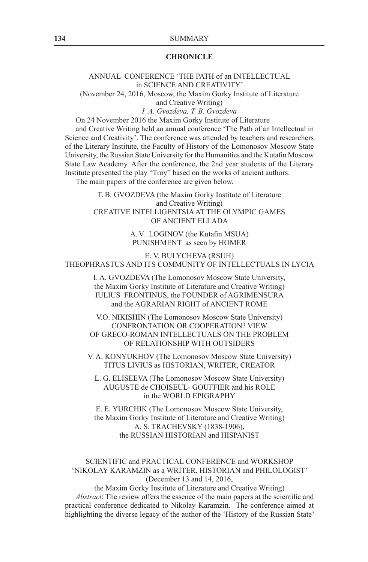#### **CHRONICLE**

#### ANNUAL CONFERENCE 'THE PATH of an INTELLECTUAL in SCIENCE AND CREATIVITY' (November 24, 2016, Moscow, the Maxim Gorky Institute of Literature

and Creative Writing)

*I .A. Gvozdeva, T. B. Gvozdeva*

On 24 November 2016 the Maxim Gorky Institute of Literature

and Creative Writing held an annual conference 'The Path of an Intellectual in Science and Creativity'. The conference was attended by teachers and researchers of the Literary Institute, the Faculty of History of the Lomonosov Moscow State University, the Russian State University for the Humanities and the Kutafin Moscow State Law Academy. After the conference, the 2nd year students of the Literary Institute presented the play "Troy" based on the works of ancient authors.

The main papers of the conference are given below.

T.B. GVOZDEVA (the Maxim Gorky Institute of Literature and Creative Writing) CREATIVE INTELLIGENTSIA AT THE OLYMPIC GAMES OF ANCIENT ELLADA

> A. V. LOGINOV (the Kutafin MSUA) PUNISHMENT as seen by HOMER

E. V. BULYCHEVA (RSUH) THEOPHRASTUS AND ITS COMMUNITY OF INTELLECTUALS IN LYCIA

> I. A. GVOZDEVA (The Lomonosov Moscow State University, the Maxim Gorky Institute of Literature and Creative Writing) IULIUS FRONTINUS, the FOUNDER of AGRIMENSURA and the AGRARIAN RIGHT of ANCIENT ROME

V.O. NIKISHIN (The Lomonosov Moscow State University) CONFRONTATION OR COOPERATION? VIEW OF GRECO-ROMAN INTELLECTUALS ON THE PROBLEM OF RELATIONSHIP WITH OUTSIDERS

V. A. KONYUKHOV (The Lomonosov Moscow State University) TITUS LIVIUS as HISTORIAN, WRITER, CREATOR

L. G. ELISEEVA (The Lomonosov Moscow State University) AUGUSTE de CHOISEUL- GOUFFIER and his ROLE in the WORLD EPIGRAPHY

E. E. YURCHIK (The Lomonosov Moscow State University, the Maxim Gorky Institute of Literature and Creative Writing) A. S. TRACHEVSKY (1838-1906), the RUSSIAN HISTORIAN and HISPANIST

### SCIENTIFIC and PRACTICAL CONFERENCE and WORKSHOP 'NIKOLAY KARAMZIN as a WRITER, HISTORIAN and PHILOLOGIST' (December 13 and 14, 2016,

the Maxim Gorky Institute of Literature and Creative Writing) *Abstract*: The review offers the essence of the main papers at the scientific and practical conference dedicated to Nikolay Karamzin. The conference aimed at highlighting the diverse legacy of the author of the 'History of the Russian State'